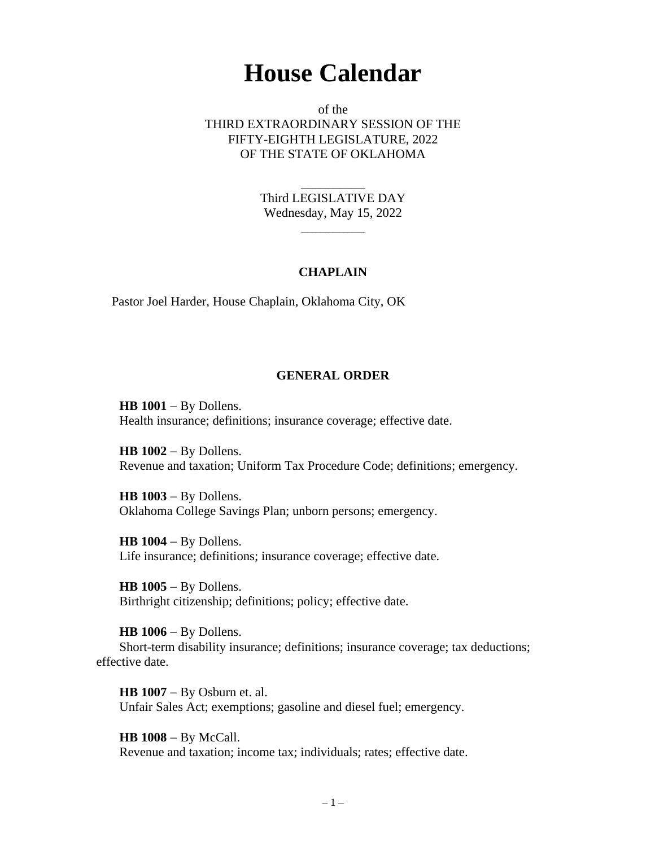# **House Calendar**

of the THIRD EXTRAORDINARY SESSION OF THE FIFTY-EIGHTH LEGISLATURE, 2022 OF THE STATE OF OKLAHOMA

> Third LEGISLATIVE DAY Wednesday, May 15, 2022

> > $\overline{\phantom{a}}$

\_\_\_\_\_\_\_\_\_\_

## **CHAPLAIN**

Pastor Joel Harder, House Chaplain, Oklahoma City, OK

# **GENERAL ORDER**

**HB 1001** − By Dollens. Health insurance; definitions; insurance coverage; effective date.

**HB 1002** − By Dollens. Revenue and taxation; Uniform Tax Procedure Code; definitions; emergency.

**HB 1003** − By Dollens. Oklahoma College Savings Plan; unborn persons; emergency.

**HB 1004** − By Dollens. Life insurance; definitions; insurance coverage; effective date.

**HB 1005** − By Dollens. Birthright citizenship; definitions; policy; effective date.

**HB 1006** − By Dollens. Short-term disability insurance; definitions; insurance coverage; tax deductions; effective date.

**HB 1007** − By Osburn et. al. Unfair Sales Act; exemptions; gasoline and diesel fuel; emergency.

**HB 1008** − By McCall. Revenue and taxation; income tax; individuals; rates; effective date.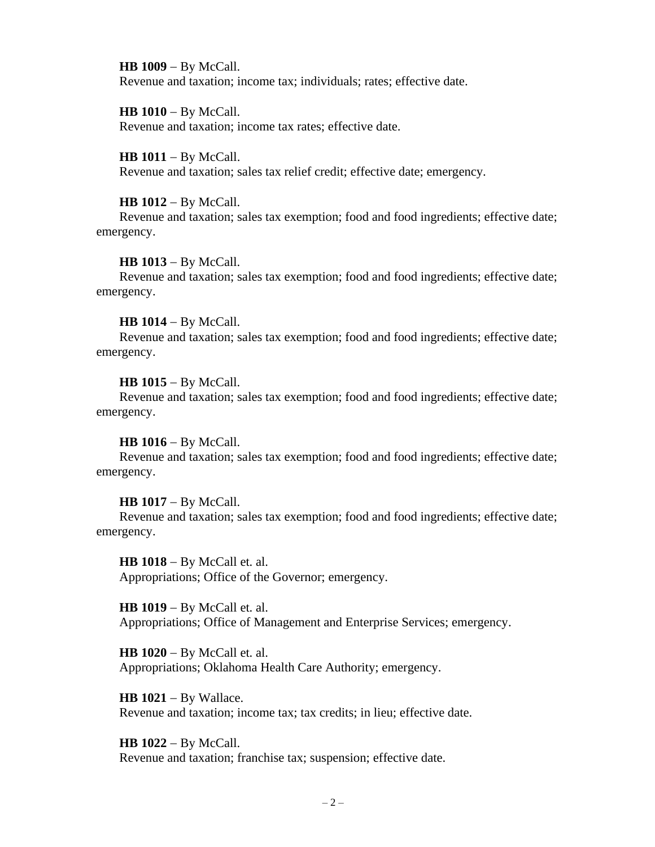**HB 1009** − By McCall. Revenue and taxation; income tax; individuals; rates; effective date.

**HB 1010** − By McCall. Revenue and taxation; income tax rates; effective date.

## **HB 1011** − By McCall.

Revenue and taxation; sales tax relief credit; effective date; emergency.

#### **HB 1012** − By McCall.

Revenue and taxation; sales tax exemption; food and food ingredients; effective date; emergency.

#### **HB 1013** − By McCall.

Revenue and taxation; sales tax exemption; food and food ingredients; effective date; emergency.

#### **HB 1014** − By McCall.

Revenue and taxation; sales tax exemption; food and food ingredients; effective date; emergency.

#### **HB 1015** − By McCall.

Revenue and taxation; sales tax exemption; food and food ingredients; effective date; emergency.

#### **HB 1016** − By McCall.

Revenue and taxation; sales tax exemption; food and food ingredients; effective date; emergency.

#### **HB 1017** − By McCall.

Revenue and taxation; sales tax exemption; food and food ingredients; effective date; emergency.

**HB 1018** − By McCall et. al. Appropriations; Office of the Governor; emergency.

**HB 1019** − By McCall et. al. Appropriations; Office of Management and Enterprise Services; emergency.

**HB 1020** − By McCall et. al. Appropriations; Oklahoma Health Care Authority; emergency.

**HB 1021** − By Wallace. Revenue and taxation; income tax; tax credits; in lieu; effective date.

**HB 1022** − By McCall. Revenue and taxation; franchise tax; suspension; effective date.